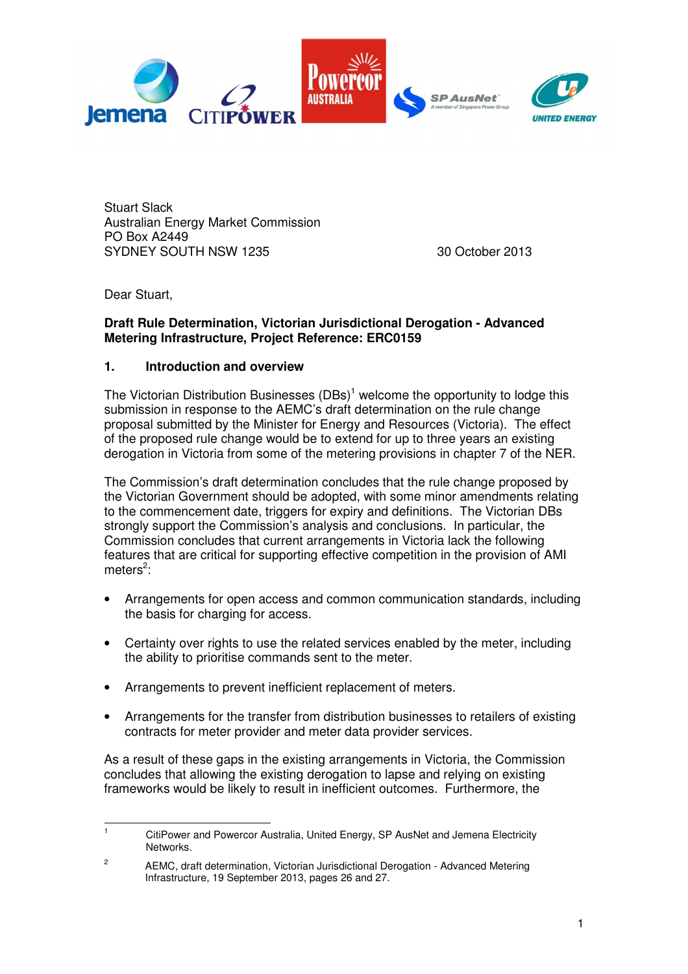

Stuart Slack Australian Energy Market Commission PO Box A2449 SYDNEY SOUTH NSW 1235 30 October 2013

Dear Stuart,

 $\overline{a}$ 

#### **Draft Rule Determination, Victorian Jurisdictional Derogation - Advanced Metering Infrastructure, Project Reference: ERC0159**

## **1. Introduction and overview**

The Victorian Distribution Businesses  $(DBs)^1$  welcome the opportunity to lodge this submission in response to the AEMC's draft determination on the rule change proposal submitted by the Minister for Energy and Resources (Victoria). The effect of the proposed rule change would be to extend for up to three years an existing derogation in Victoria from some of the metering provisions in chapter 7 of the NER.

The Commission's draft determination concludes that the rule change proposed by the Victorian Government should be adopted, with some minor amendments relating to the commencement date, triggers for expiry and definitions. The Victorian DBs strongly support the Commission's analysis and conclusions. In particular, the Commission concludes that current arrangements in Victoria lack the following features that are critical for supporting effective competition in the provision of AMI meters<sup>2</sup>:

- Arrangements for open access and common communication standards, including the basis for charging for access.
- Certainty over rights to use the related services enabled by the meter, including the ability to prioritise commands sent to the meter.
- Arrangements to prevent inefficient replacement of meters.
- Arrangements for the transfer from distribution businesses to retailers of existing contracts for meter provider and meter data provider services.

As a result of these gaps in the existing arrangements in Victoria, the Commission concludes that allowing the existing derogation to lapse and relying on existing frameworks would be likely to result in inefficient outcomes. Furthermore, the

<sup>1</sup> CitiPower and Powercor Australia, United Energy, SP AusNet and Jemena Electricity Networks.

<sup>2</sup> AEMC, draft determination, Victorian Jurisdictional Derogation - Advanced Metering Infrastructure, 19 September 2013, pages 26 and 27.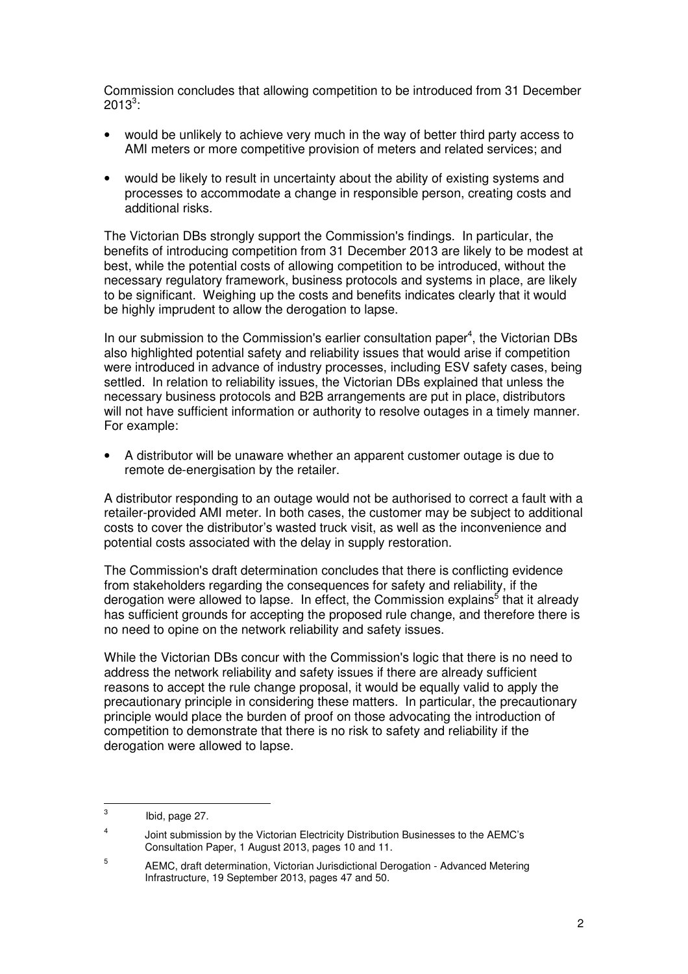Commission concludes that allowing competition to be introduced from 31 December  $2013^3$ :

- would be unlikely to achieve very much in the way of better third party access to AMI meters or more competitive provision of meters and related services; and
- would be likely to result in uncertainty about the ability of existing systems and processes to accommodate a change in responsible person, creating costs and additional risks.

The Victorian DBs strongly support the Commission's findings. In particular, the benefits of introducing competition from 31 December 2013 are likely to be modest at best, while the potential costs of allowing competition to be introduced, without the necessary regulatory framework, business protocols and systems in place, are likely to be significant. Weighing up the costs and benefits indicates clearly that it would be highly imprudent to allow the derogation to lapse.

In our submission to the Commission's earlier consultation paper<sup>4</sup>, the Victorian DBs also highlighted potential safety and reliability issues that would arise if competition were introduced in advance of industry processes, including ESV safety cases, being settled. In relation to reliability issues, the Victorian DBs explained that unless the necessary business protocols and B2B arrangements are put in place, distributors will not have sufficient information or authority to resolve outages in a timely manner. For example:

• A distributor will be unaware whether an apparent customer outage is due to remote de-energisation by the retailer.

A distributor responding to an outage would not be authorised to correct a fault with a retailer-provided AMI meter. In both cases, the customer may be subject to additional costs to cover the distributor's wasted truck visit, as well as the inconvenience and potential costs associated with the delay in supply restoration.

The Commission's draft determination concludes that there is conflicting evidence from stakeholders regarding the consequences for safety and reliability, if the derogation were allowed to lapse. In effect, the Commission explains<sup>5</sup> that it already has sufficient grounds for accepting the proposed rule change, and therefore there is no need to opine on the network reliability and safety issues.

While the Victorian DBs concur with the Commission's logic that there is no need to address the network reliability and safety issues if there are already sufficient reasons to accept the rule change proposal, it would be equally valid to apply the precautionary principle in considering these matters. In particular, the precautionary principle would place the burden of proof on those advocating the introduction of competition to demonstrate that there is no risk to safety and reliability if the derogation were allowed to lapse.

l

<sup>3</sup> Ibid, page 27.

<sup>4</sup> Joint submission by the Victorian Electricity Distribution Businesses to the AEMC's Consultation Paper, 1 August 2013, pages 10 and 11.

<sup>5</sup> AEMC, draft determination, Victorian Jurisdictional Derogation - Advanced Metering Infrastructure, 19 September 2013, pages 47 and 50.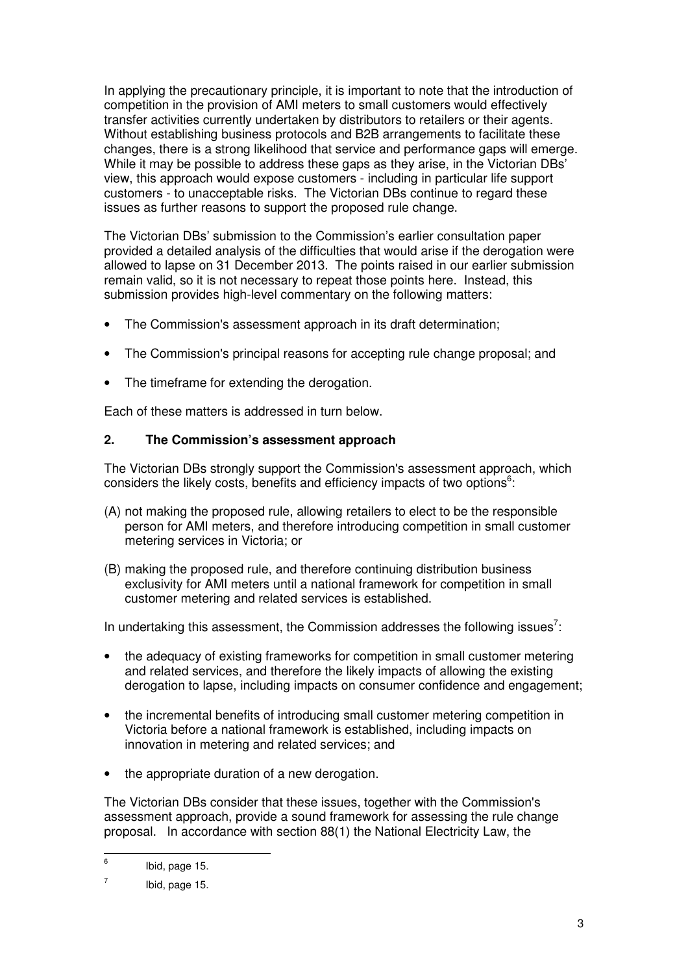In applying the precautionary principle, it is important to note that the introduction of competition in the provision of AMI meters to small customers would effectively transfer activities currently undertaken by distributors to retailers or their agents. Without establishing business protocols and B2B arrangements to facilitate these changes, there is a strong likelihood that service and performance gaps will emerge. While it may be possible to address these gaps as they arise, in the Victorian DBs' view, this approach would expose customers - including in particular life support customers - to unacceptable risks. The Victorian DBs continue to regard these issues as further reasons to support the proposed rule change.

The Victorian DBs' submission to the Commission's earlier consultation paper provided a detailed analysis of the difficulties that would arise if the derogation were allowed to lapse on 31 December 2013. The points raised in our earlier submission remain valid, so it is not necessary to repeat those points here. Instead, this submission provides high-level commentary on the following matters:

- The Commission's assessment approach in its draft determination;
- The Commission's principal reasons for accepting rule change proposal; and
- The timeframe for extending the derogation.

Each of these matters is addressed in turn below.

#### **2. The Commission's assessment approach**

The Victorian DBs strongly support the Commission's assessment approach, which considers the likely costs, benefits and efficiency impacts of two options $6$ :

- (A) not making the proposed rule, allowing retailers to elect to be the responsible person for AMI meters, and therefore introducing competition in small customer metering services in Victoria; or
- (B) making the proposed rule, and therefore continuing distribution business exclusivity for AMI meters until a national framework for competition in small customer metering and related services is established.

In undertaking this assessment, the Commission addresses the following issues<sup>7</sup>:

- the adequacy of existing frameworks for competition in small customer metering and related services, and therefore the likely impacts of allowing the existing derogation to lapse, including impacts on consumer confidence and engagement;
- the incremental benefits of introducing small customer metering competition in Victoria before a national framework is established, including impacts on innovation in metering and related services; and
- the appropriate duration of a new derogation.

The Victorian DBs consider that these issues, together with the Commission's assessment approach, provide a sound framework for assessing the rule change proposal. In accordance with section 88(1) the National Electricity Law, the

 6 Ibid, page 15.

<sup>7</sup> Ibid, page 15.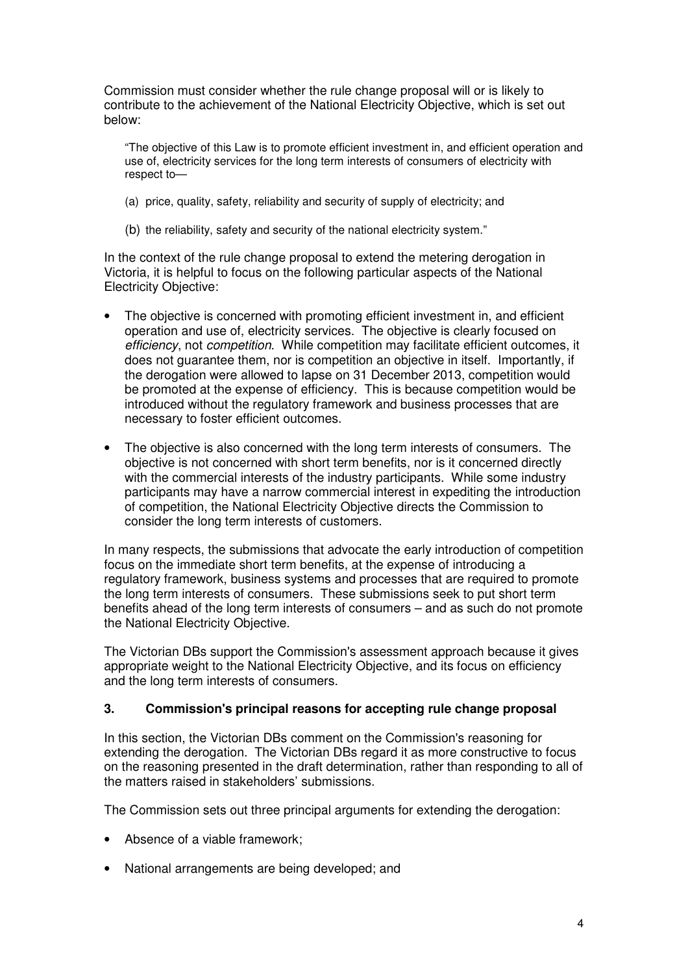Commission must consider whether the rule change proposal will or is likely to contribute to the achievement of the National Electricity Objective, which is set out below:

"The objective of this Law is to promote efficient investment in, and efficient operation and use of, electricity services for the long term interests of consumers of electricity with respect to—

- (a) price, quality, safety, reliability and security of supply of electricity; and
- (b) the reliability, safety and security of the national electricity system."

In the context of the rule change proposal to extend the metering derogation in Victoria, it is helpful to focus on the following particular aspects of the National Electricity Objective:

- The objective is concerned with promoting efficient investment in, and efficient operation and use of, electricity services. The objective is clearly focused on efficiency, not competition. While competition may facilitate efficient outcomes, it does not guarantee them, nor is competition an objective in itself. Importantly, if the derogation were allowed to lapse on 31 December 2013, competition would be promoted at the expense of efficiency. This is because competition would be introduced without the regulatory framework and business processes that are necessary to foster efficient outcomes.
- The objective is also concerned with the long term interests of consumers. The objective is not concerned with short term benefits, nor is it concerned directly with the commercial interests of the industry participants. While some industry participants may have a narrow commercial interest in expediting the introduction of competition, the National Electricity Objective directs the Commission to consider the long term interests of customers.

In many respects, the submissions that advocate the early introduction of competition focus on the immediate short term benefits, at the expense of introducing a regulatory framework, business systems and processes that are required to promote the long term interests of consumers. These submissions seek to put short term benefits ahead of the long term interests of consumers – and as such do not promote the National Electricity Objective.

The Victorian DBs support the Commission's assessment approach because it gives appropriate weight to the National Electricity Objective, and its focus on efficiency and the long term interests of consumers.

#### **3. Commission's principal reasons for accepting rule change proposal**

In this section, the Victorian DBs comment on the Commission's reasoning for extending the derogation. The Victorian DBs regard it as more constructive to focus on the reasoning presented in the draft determination, rather than responding to all of the matters raised in stakeholders' submissions.

The Commission sets out three principal arguments for extending the derogation:

- Absence of a viable framework;
- National arrangements are being developed; and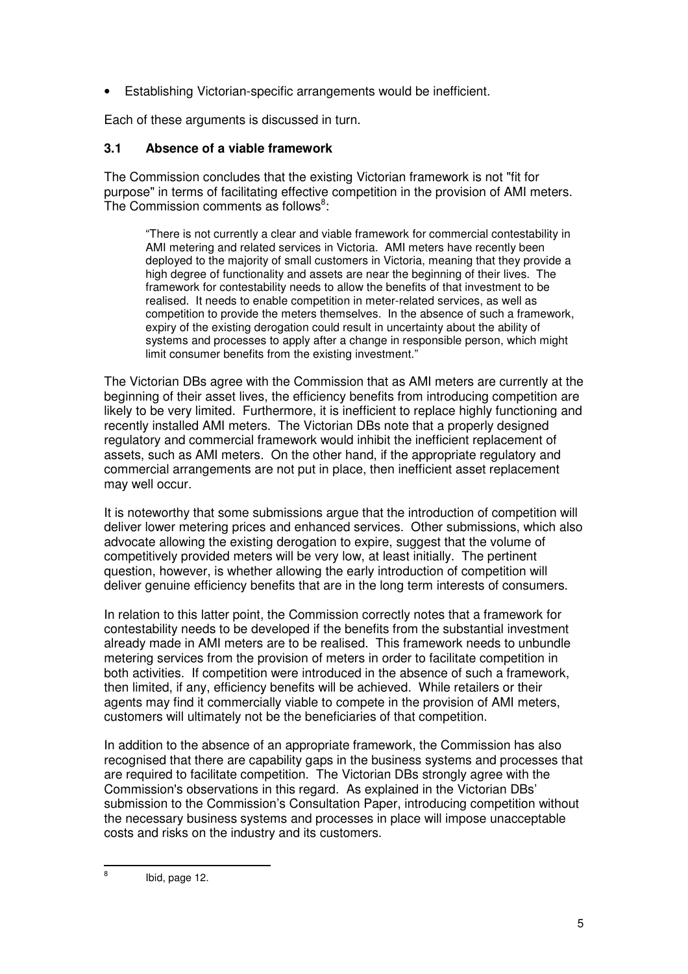• Establishing Victorian-specific arrangements would be inefficient.

Each of these arguments is discussed in turn.

## **3.1 Absence of a viable framework**

The Commission concludes that the existing Victorian framework is not "fit for purpose" in terms of facilitating effective competition in the provision of AMI meters. The Commission comments as follows<sup>8</sup>:

"There is not currently a clear and viable framework for commercial contestability in AMI metering and related services in Victoria. AMI meters have recently been deployed to the majority of small customers in Victoria, meaning that they provide a high degree of functionality and assets are near the beginning of their lives. The framework for contestability needs to allow the benefits of that investment to be realised. It needs to enable competition in meter-related services, as well as competition to provide the meters themselves. In the absence of such a framework, expiry of the existing derogation could result in uncertainty about the ability of systems and processes to apply after a change in responsible person, which might limit consumer benefits from the existing investment."

The Victorian DBs agree with the Commission that as AMI meters are currently at the beginning of their asset lives, the efficiency benefits from introducing competition are likely to be very limited. Furthermore, it is inefficient to replace highly functioning and recently installed AMI meters. The Victorian DBs note that a properly designed regulatory and commercial framework would inhibit the inefficient replacement of assets, such as AMI meters. On the other hand, if the appropriate regulatory and commercial arrangements are not put in place, then inefficient asset replacement may well occur.

It is noteworthy that some submissions argue that the introduction of competition will deliver lower metering prices and enhanced services. Other submissions, which also advocate allowing the existing derogation to expire, suggest that the volume of competitively provided meters will be very low, at least initially. The pertinent question, however, is whether allowing the early introduction of competition will deliver genuine efficiency benefits that are in the long term interests of consumers.

In relation to this latter point, the Commission correctly notes that a framework for contestability needs to be developed if the benefits from the substantial investment already made in AMI meters are to be realised. This framework needs to unbundle metering services from the provision of meters in order to facilitate competition in both activities. If competition were introduced in the absence of such a framework, then limited, if any, efficiency benefits will be achieved. While retailers or their agents may find it commercially viable to compete in the provision of AMI meters, customers will ultimately not be the beneficiaries of that competition.

In addition to the absence of an appropriate framework, the Commission has also recognised that there are capability gaps in the business systems and processes that are required to facilitate competition. The Victorian DBs strongly agree with the Commission's observations in this regard. As explained in the Victorian DBs' submission to the Commission's Consultation Paper, introducing competition without the necessary business systems and processes in place will impose unacceptable costs and risks on the industry and its customers.

 $\overline{a}$ 

<sup>8</sup> Ibid, page 12.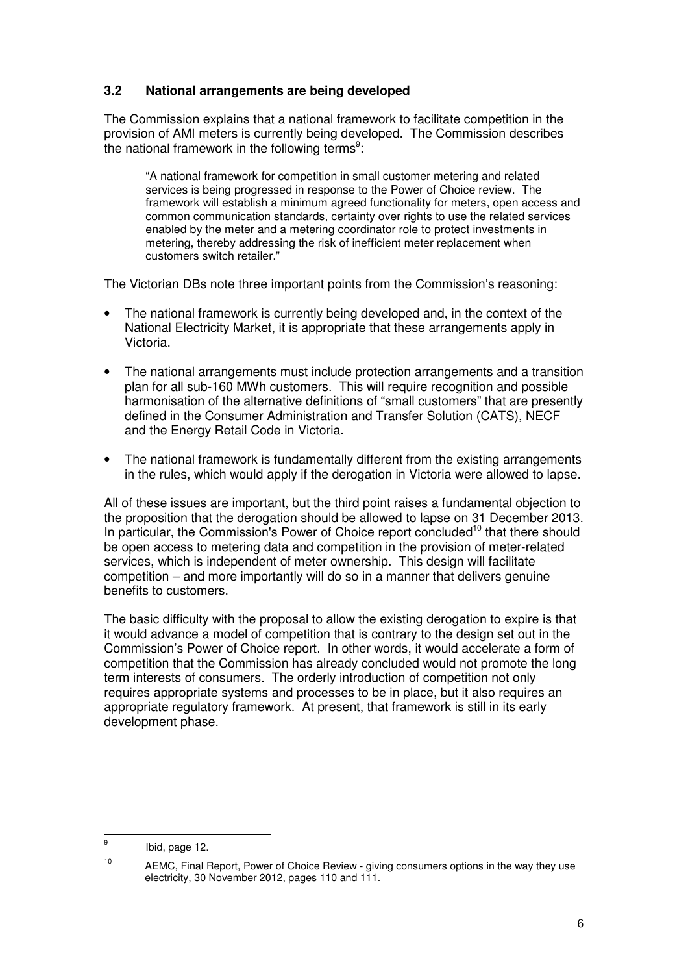# **3.2 National arrangements are being developed**

The Commission explains that a national framework to facilitate competition in the provision of AMI meters is currently being developed. The Commission describes the national framework in the following terms<sup>9</sup>:

"A national framework for competition in small customer metering and related services is being progressed in response to the Power of Choice review. The framework will establish a minimum agreed functionality for meters, open access and common communication standards, certainty over rights to use the related services enabled by the meter and a metering coordinator role to protect investments in metering, thereby addressing the risk of inefficient meter replacement when customers switch retailer."

The Victorian DBs note three important points from the Commission's reasoning:

- The national framework is currently being developed and, in the context of the National Electricity Market, it is appropriate that these arrangements apply in Victoria.
- The national arrangements must include protection arrangements and a transition plan for all sub-160 MWh customers. This will require recognition and possible harmonisation of the alternative definitions of "small customers" that are presently defined in the Consumer Administration and Transfer Solution (CATS), NECF and the Energy Retail Code in Victoria.
- The national framework is fundamentally different from the existing arrangements in the rules, which would apply if the derogation in Victoria were allowed to lapse.

All of these issues are important, but the third point raises a fundamental objection to the proposition that the derogation should be allowed to lapse on 31 December 2013. In particular, the Commission's Power of Choice report concluded<sup>10</sup> that there should be open access to metering data and competition in the provision of meter-related services, which is independent of meter ownership. This design will facilitate competition – and more importantly will do so in a manner that delivers genuine benefits to customers.

The basic difficulty with the proposal to allow the existing derogation to expire is that it would advance a model of competition that is contrary to the design set out in the Commission's Power of Choice report. In other words, it would accelerate a form of competition that the Commission has already concluded would not promote the long term interests of consumers. The orderly introduction of competition not only requires appropriate systems and processes to be in place, but it also requires an appropriate regulatory framework. At present, that framework is still in its early development phase.

 $\overline{a}$ 

<sup>9</sup> Ibid, page 12.

<sup>&</sup>lt;sup>10</sup> AEMC, Final Report, Power of Choice Review - giving consumers options in the way they use electricity, 30 November 2012, pages 110 and 111.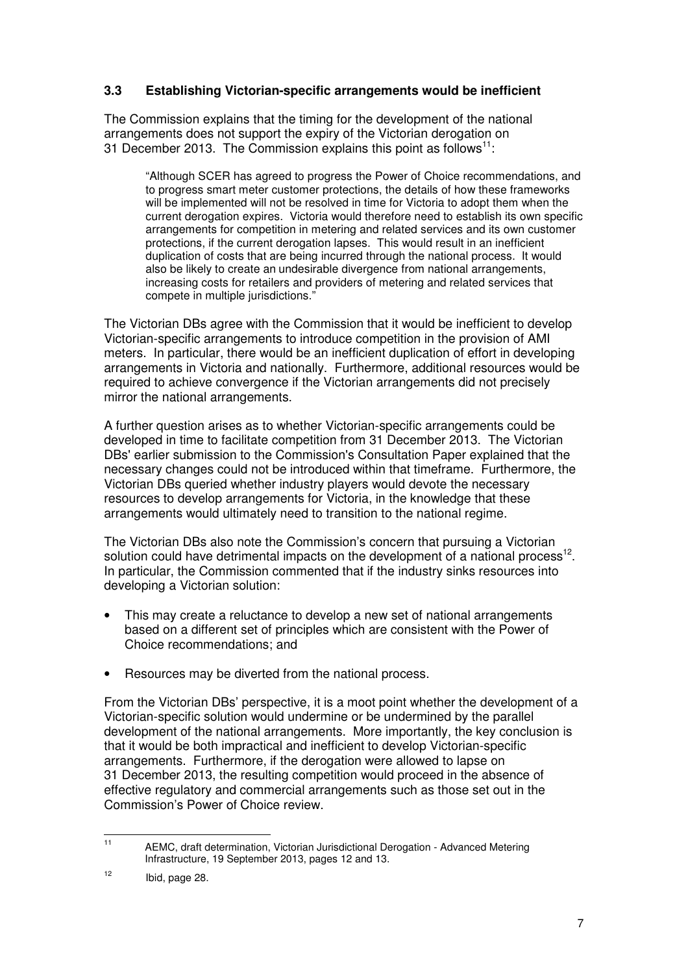# **3.3 Establishing Victorian-specific arrangements would be inefficient**

The Commission explains that the timing for the development of the national arrangements does not support the expiry of the Victorian derogation on 31 December 2013. The Commission explains this point as follows<sup>11</sup>:

"Although SCER has agreed to progress the Power of Choice recommendations, and to progress smart meter customer protections, the details of how these frameworks will be implemented will not be resolved in time for Victoria to adopt them when the current derogation expires. Victoria would therefore need to establish its own specific arrangements for competition in metering and related services and its own customer protections, if the current derogation lapses. This would result in an inefficient duplication of costs that are being incurred through the national process. It would also be likely to create an undesirable divergence from national arrangements, increasing costs for retailers and providers of metering and related services that compete in multiple jurisdictions."

The Victorian DBs agree with the Commission that it would be inefficient to develop Victorian-specific arrangements to introduce competition in the provision of AMI meters. In particular, there would be an inefficient duplication of effort in developing arrangements in Victoria and nationally. Furthermore, additional resources would be required to achieve convergence if the Victorian arrangements did not precisely mirror the national arrangements.

A further question arises as to whether Victorian-specific arrangements could be developed in time to facilitate competition from 31 December 2013. The Victorian DBs' earlier submission to the Commission's Consultation Paper explained that the necessary changes could not be introduced within that timeframe. Furthermore, the Victorian DBs queried whether industry players would devote the necessary resources to develop arrangements for Victoria, in the knowledge that these arrangements would ultimately need to transition to the national regime.

The Victorian DBs also note the Commission's concern that pursuing a Victorian solution could have detrimental impacts on the development of a national process<sup>12</sup>. In particular, the Commission commented that if the industry sinks resources into developing a Victorian solution:

- This may create a reluctance to develop a new set of national arrangements based on a different set of principles which are consistent with the Power of Choice recommendations; and
- Resources may be diverted from the national process.

From the Victorian DBs' perspective, it is a moot point whether the development of a Victorian-specific solution would undermine or be undermined by the parallel development of the national arrangements. More importantly, the key conclusion is that it would be both impractical and inefficient to develop Victorian-specific arrangements. Furthermore, if the derogation were allowed to lapse on 31 December 2013, the resulting competition would proceed in the absence of effective regulatory and commercial arrangements such as those set out in the Commission's Power of Choice review.

 $11$ <sup>11</sup> AEMC, draft determination, Victorian Jurisdictional Derogation - Advanced Metering Infrastructure, 19 September 2013, pages 12 and 13.

 $12$  Ibid, page 28.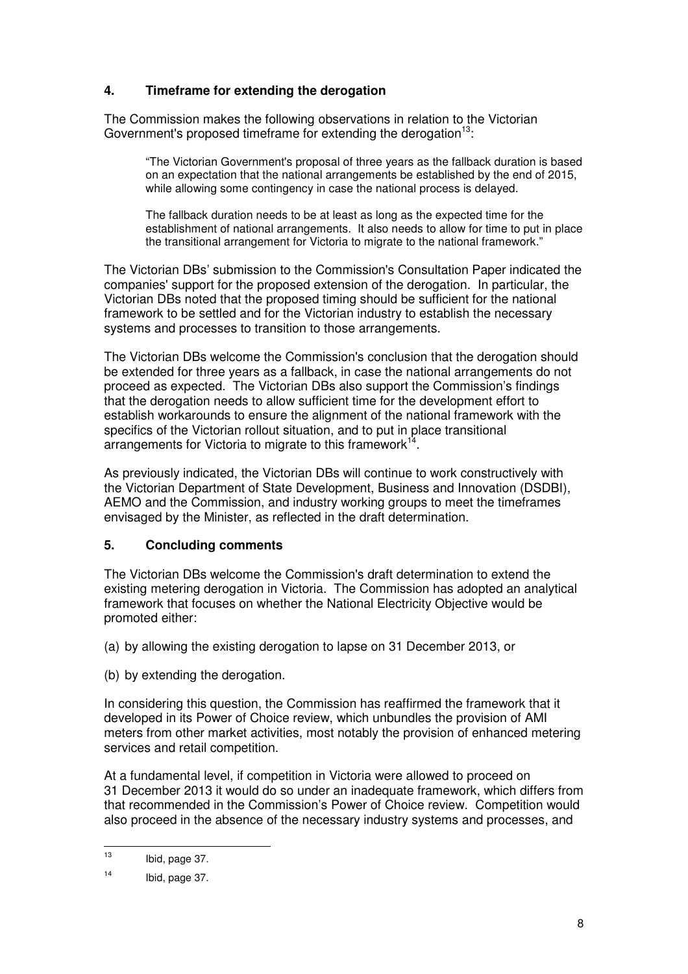# **4. Timeframe for extending the derogation**

The Commission makes the following observations in relation to the Victorian Government's proposed timeframe for extending the derogation $13$ :

"The Victorian Government's proposal of three years as the fallback duration is based on an expectation that the national arrangements be established by the end of 2015, while allowing some contingency in case the national process is delayed.

The fallback duration needs to be at least as long as the expected time for the establishment of national arrangements. It also needs to allow for time to put in place the transitional arrangement for Victoria to migrate to the national framework."

The Victorian DBs' submission to the Commission's Consultation Paper indicated the companies' support for the proposed extension of the derogation. In particular, the Victorian DBs noted that the proposed timing should be sufficient for the national framework to be settled and for the Victorian industry to establish the necessary systems and processes to transition to those arrangements.

The Victorian DBs welcome the Commission's conclusion that the derogation should be extended for three years as a fallback, in case the national arrangements do not proceed as expected. The Victorian DBs also support the Commission's findings that the derogation needs to allow sufficient time for the development effort to establish workarounds to ensure the alignment of the national framework with the specifics of the Victorian rollout situation, and to put in place transitional arrangements for Victoria to migrate to this framework $^{14}$ .

As previously indicated, the Victorian DBs will continue to work constructively with the Victorian Department of State Development, Business and Innovation (DSDBI), AEMO and the Commission, and industry working groups to meet the timeframes envisaged by the Minister, as reflected in the draft determination.

## **5. Concluding comments**

The Victorian DBs welcome the Commission's draft determination to extend the existing metering derogation in Victoria. The Commission has adopted an analytical framework that focuses on whether the National Electricity Objective would be promoted either:

- (a) by allowing the existing derogation to lapse on 31 December 2013, or
- (b) by extending the derogation.

In considering this question, the Commission has reaffirmed the framework that it developed in its Power of Choice review, which unbundles the provision of AMI meters from other market activities, most notably the provision of enhanced metering services and retail competition.

At a fundamental level, if competition in Victoria were allowed to proceed on 31 December 2013 it would do so under an inadequate framework, which differs from that recommended in the Commission's Power of Choice review. Competition would also proceed in the absence of the necessary industry systems and processes, and

 $13$ Ibid, page 37.

 $14$  Ibid, page 37.